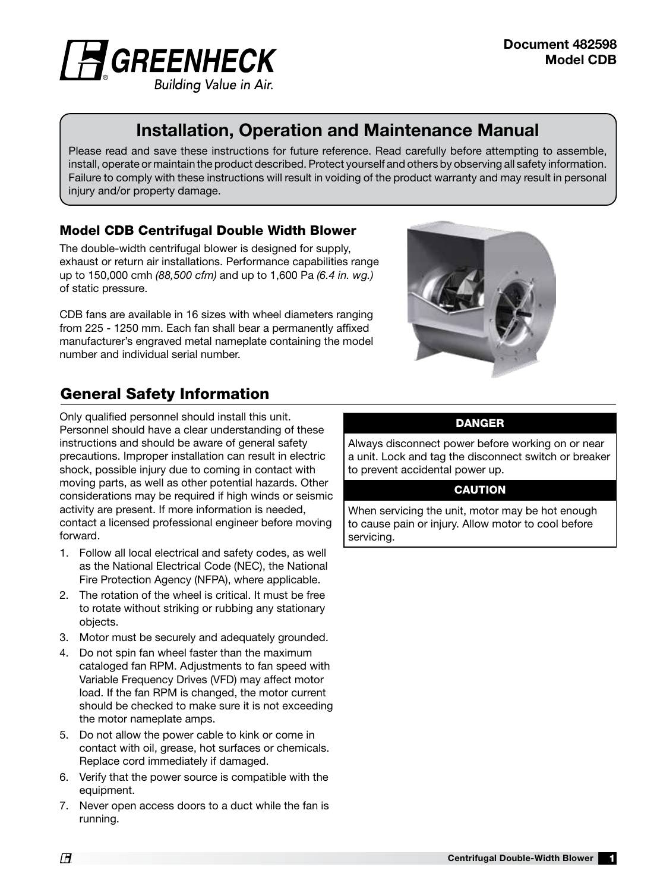

# Installation, Operation and Maintenance Manual

Please read and save these instructions for future reference. Read carefully before attempting to assemble, install, operate or maintain the product described. Protect yourself and others by observing all safety information. Failure to comply with these instructions will result in voiding of the product warranty and may result in personal injury and/or property damage.

#### Model CDB Centrifugal Double Width Blower

The double-width centrifugal blower is designed for supply, exhaust or return air installations. Performance capabilities range up to 150,000 cmh *(88,500 cfm)* and up to 1,600 Pa *(6.4 in. wg.)*  of static pressure.

CDB fans are available in 16 sizes with wheel diameters ranging from 225 - 1250 mm. Each fan shall bear a permanently affixed manufacturer's engraved metal nameplate containing the model number and individual serial number.



# General Safety Information

Only qualified personnel should install this unit. Personnel should have a clear understanding of these instructions and should be aware of general safety precautions. Improper installation can result in electric shock, possible injury due to coming in contact with moving parts, as well as other potential hazards. Other considerations may be required if high winds or seismic activity are present. If more information is needed, contact a licensed professional engineer before moving forward.

- 1. Follow all local electrical and safety codes, as well as the National Electrical Code (NEC), the National Fire Protection Agency (NFPA), where applicable.
- 2. The rotation of the wheel is critical. It must be free to rotate without striking or rubbing any stationary objects.
- 3. Motor must be securely and adequately grounded.
- 4. Do not spin fan wheel faster than the maximum cataloged fan RPM. Adjustments to fan speed with Variable Frequency Drives (VFD) may affect motor load. If the fan RPM is changed, the motor current should be checked to make sure it is not exceeding the motor nameplate amps.
- 5. Do not allow the power cable to kink or come in contact with oil, grease, hot surfaces or chemicals. Replace cord immediately if damaged.
- 6. Verify that the power source is compatible with the equipment.
- 7. Never open access doors to a duct while the fan is running.

#### DANGER

Always disconnect power before working on or near a unit. Lock and tag the disconnect switch or breaker to prevent accidental power up.

#### **CAUTION**

When servicing the unit, motor may be hot enough to cause pain or injury. Allow motor to cool before servicing.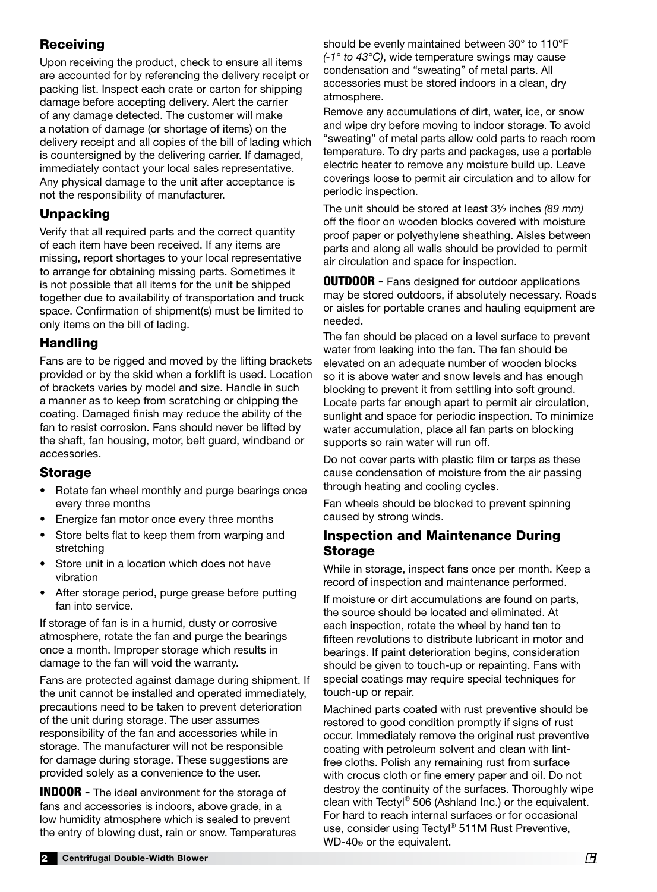## **Receiving**

Upon receiving the product, check to ensure all items are accounted for by referencing the delivery receipt or packing list. Inspect each crate or carton for shipping damage before accepting delivery. Alert the carrier of any damage detected. The customer will make a notation of damage (or shortage of items) on the delivery receipt and all copies of the bill of lading which is countersigned by the delivering carrier. If damaged, immediately contact your local sales representative. Any physical damage to the unit after acceptance is not the responsibility of manufacturer.

## Unpacking

Verify that all required parts and the correct quantity of each item have been received. If any items are missing, report shortages to your local representative to arrange for obtaining missing parts. Sometimes it is not possible that all items for the unit be shipped together due to availability of transportation and truck space. Confirmation of shipment(s) must be limited to only items on the bill of lading.

#### **Handling**

Fans are to be rigged and moved by the lifting brackets provided or by the skid when a forklift is used. Location of brackets varies by model and size. Handle in such a manner as to keep from scratching or chipping the coating. Damaged finish may reduce the ability of the fan to resist corrosion. Fans should never be lifted by the shaft, fan housing, motor, belt guard, windband or accessories.

## Storage

- Rotate fan wheel monthly and purge bearings once every three months
- Energize fan motor once every three months
- Store belts flat to keep them from warping and stretching
- Store unit in a location which does not have vibration
- After storage period, purge grease before putting fan into service.

If storage of fan is in a humid, dusty or corrosive atmosphere, rotate the fan and purge the bearings once a month. Improper storage which results in damage to the fan will void the warranty.

Fans are protected against damage during shipment. If the unit cannot be installed and operated immediately, precautions need to be taken to prevent deterioration of the unit during storage. The user assumes responsibility of the fan and accessories while in storage. The manufacturer will not be responsible for damage during storage. These suggestions are provided solely as a convenience to the user.

**INDOOR -** The ideal environment for the storage of fans and accessories is indoors, above grade, in a low humidity atmosphere which is sealed to prevent the entry of blowing dust, rain or snow. Temperatures should be evenly maintained between 30° to 110°F *(-1° to 43°C)*, wide temperature swings may cause condensation and "sweating" of metal parts. All accessories must be stored indoors in a clean, dry atmosphere.

Remove any accumulations of dirt, water, ice, or snow and wipe dry before moving to indoor storage. To avoid "sweating" of metal parts allow cold parts to reach room temperature. To dry parts and packages, use a portable electric heater to remove any moisture build up. Leave coverings loose to permit air circulation and to allow for periodic inspection.

The unit should be stored at least 3½ inches *(89 mm)* off the floor on wooden blocks covered with moisture proof paper or polyethylene sheathing. Aisles between parts and along all walls should be provided to permit air circulation and space for inspection.

**OUTDOOR - Fans designed for outdoor applications** may be stored outdoors, if absolutely necessary. Roads or aisles for portable cranes and hauling equipment are needed.

The fan should be placed on a level surface to prevent water from leaking into the fan. The fan should be elevated on an adequate number of wooden blocks so it is above water and snow levels and has enough blocking to prevent it from settling into soft ground. Locate parts far enough apart to permit air circulation, sunlight and space for periodic inspection. To minimize water accumulation, place all fan parts on blocking supports so rain water will run off.

Do not cover parts with plastic film or tarps as these cause condensation of moisture from the air passing through heating and cooling cycles.

Fan wheels should be blocked to prevent spinning caused by strong winds.

#### Inspection and Maintenance During Storage

While in storage, inspect fans once per month. Keep a record of inspection and maintenance performed.

If moisture or dirt accumulations are found on parts, the source should be located and eliminated. At each inspection, rotate the wheel by hand ten to fifteen revolutions to distribute lubricant in motor and bearings. If paint deterioration begins, consideration should be given to touch-up or repainting. Fans with special coatings may require special techniques for touch-up or repair.

Machined parts coated with rust preventive should be restored to good condition promptly if signs of rust occur. Immediately remove the original rust preventive coating with petroleum solvent and clean with lintfree cloths. Polish any remaining rust from surface with crocus cloth or fine emery paper and oil. Do not destroy the continuity of the surfaces. Thoroughly wipe clean with Tectyl® 506 (Ashland Inc.) or the equivalent. For hard to reach internal surfaces or for occasional use, consider using Tectyl® 511M Rust Preventive, WD-40® or the equivalent.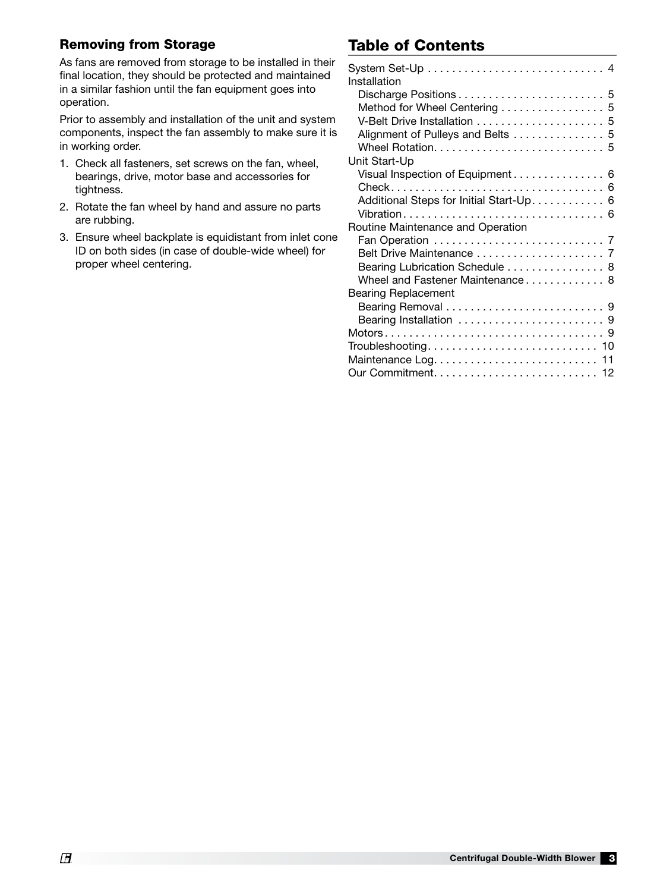#### Removing from Storage

As fans are removed from storage to be installed in their final location, they should be protected and maintained in a similar fashion until the fan equipment goes into operation.

Prior to assembly and installation of the unit and system components, inspect the fan assembly to make sure it is in working order.

- 1. Check all fasteners, set screws on the fan, wheel, bearings, drive, motor base and accessories for tightness.
- 2. Rotate the fan wheel by hand and assure no parts are rubbing.
- 3. Ensure wheel backplate is equidistant from inlet cone ID on both sides (in case of double-wide wheel) for proper wheel centering.

# Table of Contents

| Installation                             |
|------------------------------------------|
|                                          |
| Method for Wheel Centering 5             |
|                                          |
| Alignment of Pulleys and Belts  5        |
|                                          |
| Unit Start-Up                            |
| Visual Inspection of Equipment 6         |
|                                          |
| Additional Steps for Initial Start-Up. 6 |
|                                          |
| Routine Maintenance and Operation        |
|                                          |
|                                          |
| Bearing Lubrication Schedule  8          |
| Wheel and Fastener Maintenance 8         |
| Bearing Replacement                      |
|                                          |
|                                          |
|                                          |
|                                          |
|                                          |
|                                          |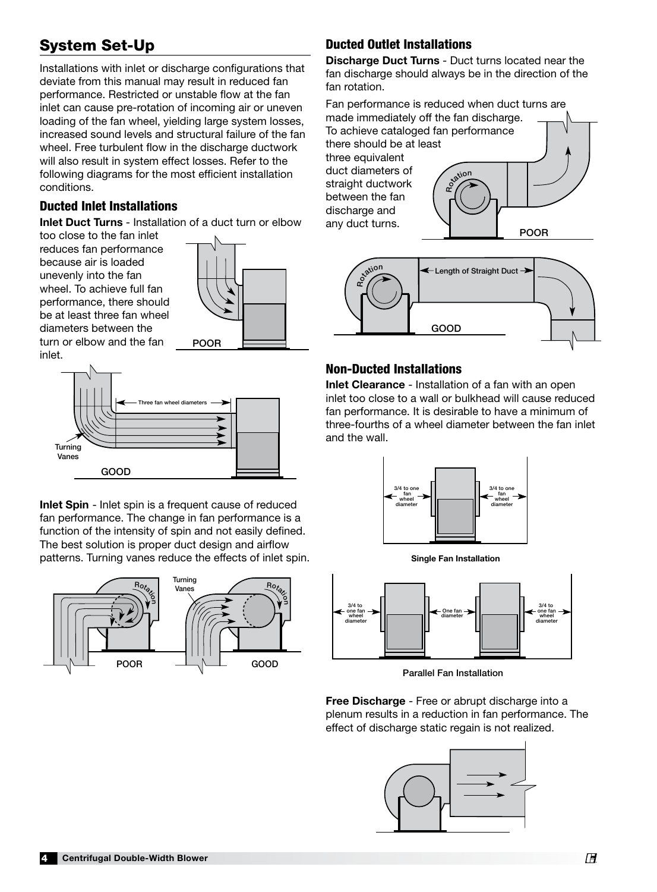# System Set-Up

Installations with inlet or discharge configurations that deviate from this manual may result in reduced fan performance. Restricted or unstable flow at the fan inlet can cause pre-rotation of incoming air or uneven loading of the fan wheel, yielding large system losses, increased sound levels and structural failure of the fan wheel. Free turbulent flow in the discharge ductwork will also result in system effect losses. Refer to the following diagrams for the most efficient installation conditions.

#### Ducted Inlet Installations

Inlet Duct Turns - Installation of a duct turn or elbow

too close to the fan inlet reduces fan performance because air is loaded unevenly into the fan wheel. To achieve full fan performance, there should be at least three fan wheel diameters between the turn or elbow and the fan **POOR** 



inlet.



Three fan wheel diameters Inlet Spin - Inlet spin is a frequent cause of reduced fan performance. The change in fan performance is a function of the intensity of spin and not easily defined. The best solution is proper duct design and airflow patterns. Turning vanes reduce the effects of inlet spin.



# **Ducted Outlet Installations**

Discharge Duct Turns - Duct turns located near the fan discharge should always be in the direction of the fan rotation.

Fan performance is reduced when duct turns are Fan pertormance is reduced wnen duct τι<br>made immediately off the fan discharge. To achieve cataloged fan performance there should be at least three equivalent duct diameters of straight ductwork between the fan discharge and ansenarge and<br>any duct turns. Rotion POOR GOOD  $\mathcal{S}$   $\mathcal{S}$   $\mathcal{S}$   $\mathcal{S}$   $\mathcal{S}$   $\mathcal{S}$   $\mathcal{S}$   $\mathcal{S}$   $\mathcal{S}$   $\mathcal{S}$   $\mathcal{S}$   $\mathcal{S}$   $\mathcal{S}$   $\mathcal{S}$   $\mathcal{S}$   $\mathcal{S}$   $\mathcal{S}$   $\mathcal{S}$   $\mathcal{S}$   $\mathcal{S}$   $\mathcal{S}$   $\mathcal{S}$   $\mathcal{S}$   $\mathcal{S}$   $\mathcal{$ 



# Non-Ducted Installations

Inlet Clearance - Installation of a fan with an open inlet too close to a wall or bulkhead will cause reduced fan performance. It is desirable to have a minimum of three-fourths of a wheel diameter between the fan inlet and the wall. of<br>:h<br>ete  $U$ UTULET VELOCITY







Parallel Fan Installation

Free Discharge - Free or abrupt discharge into a plenum results in a reduction in fan performance. The effect of discharge static regain is not realized.

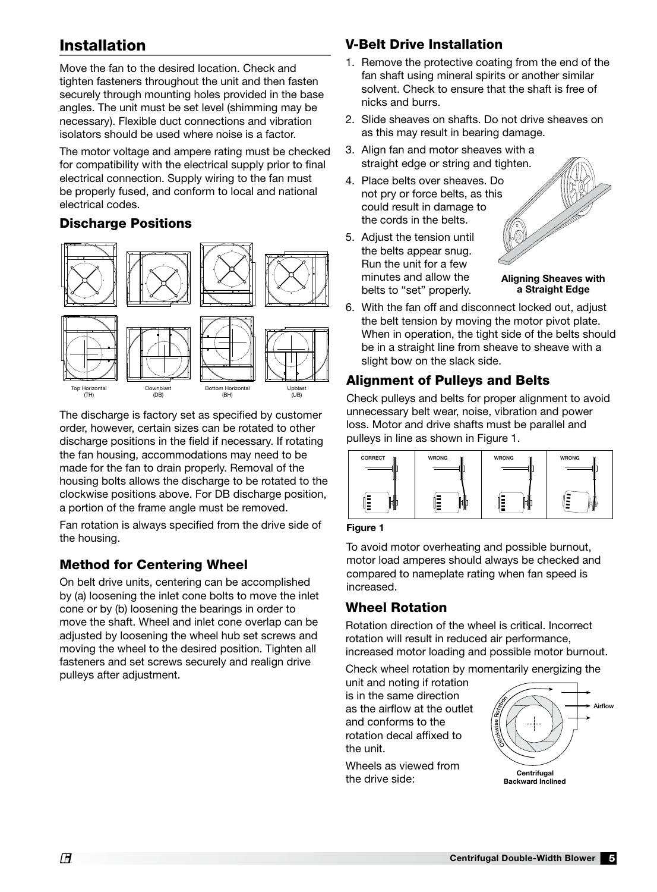## Installation

Move the fan to the desired location. Check and tighten fasteners throughout the unit and then fasten securely through mounting holes provided in the base angles. The unit must be set level (shimming may be necessary). Flexible duct connections and vibration isolators should be used where noise is a factor.

The motor voltage and ampere rating must be checked for compatibility with the electrical supply prior to final electrical connection. Supply wiring to the fan must be properly fused, and conform to local and national electrical codes.

## Discharge Positions



The discharge is factory set as specified by customer order, however, certain sizes can be rotated to other discharge positions in the field if necessary. If rotating the fan housing, accommodations may need to be made for the fan to drain properly. Removal of the housing bolts allows the discharge to be rotated to the clockwise positions above. For DB discharge position, a portion of the frame angle must be removed.

Fan rotation is always specified from the drive side of the housing.

## Method for Centering Wheel

fasteners and set screws securely and realign drive On belt drive units, centering can be accomplished by (a) loosening the inlet cone bolts to move the inlet cone or by (b) loosening the bearings in order to move the shaft. Wheel and inlet cone overlap can be adjusted by loosening the wheel hub set screws and moving the wheel to the desired position. Tighten all pulleys after adjustment.

## V-Belt Drive Installation

- 1. Remove the protective coating from the end of the fan shaft using mineral spirits or another similar solvent. Check to ensure that the shaft is free of nicks and burrs.
- 2. Slide sheaves on shafts. Do not drive sheaves on as this may result in bearing damage.
- 3. Align fan and motor sheaves with a straight edge or string and tighten.
- 4. Place belts over sheaves. Do not pry or force belts, as this could result in damage to the cords in the belts.
- 5. Adjust the tension until the belts appear snug. Run the unit for a few minutes and allow the belts to "set" properly.



Aligning Sheaves with a Straight Edge

6. With the fan off and disconnect locked out, adjust the belt tension by moving the motor pivot plate. When in operation, the tight side of the belts should be in a straight line from sheave to sheave with a slight bow on the slack side.

## Alignment of Pulleys and Belts

Check pulleys and belts for proper alignment to avoid unnecessary belt wear, noise, vibration and power loss. Motor and drive shafts must be parallel and pulleys in line as shown in Figure 1.



Figure 1

To avoid motor overheating and possible burnout, motor load amperes should always be checked and compared to nameplate rating when fan speed is increased.

## Wheel Rotation

 $\frac{d}{dt}$  rotation will result in reduced air performance, increased motor loading and possible motor burnout. Rotation direction of the wheel is critical. Incorrect

Check wheel rotation by momentarily energizing the

unit and noting if rotation is in the same direction as the airflow at the outlet and conforms to the rotation decal affixed to the unit.

Wheels as viewed from the drive side:

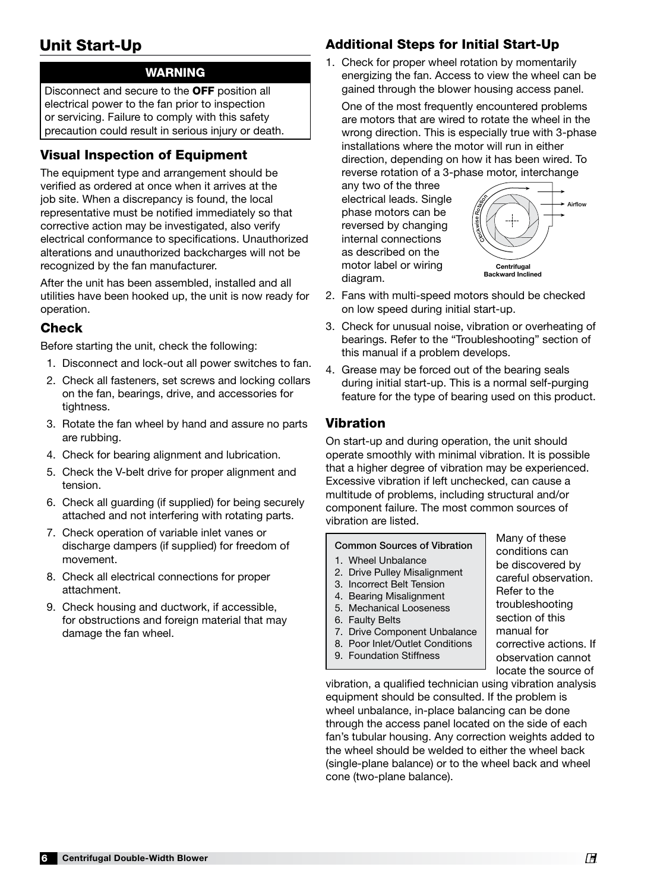# Unit Start-Up

## WARNING

Disconnect and secure to the OFF position all electrical power to the fan prior to inspection or servicing. Failure to comply with this safety precaution could result in serious injury or death.

## Visual Inspection of Equipment

The equipment type and arrangement should be verified as ordered at once when it arrives at the job site. When a discrepancy is found, the local representative must be notified immediately so that corrective action may be investigated, also verify electrical conformance to specifications. Unauthorized alterations and unauthorized backcharges will not be recognized by the fan manufacturer.

After the unit has been assembled, installed and all utilities have been hooked up, the unit is now ready for operation.

## Check

Before starting the unit, check the following:

- 1. Disconnect and lock-out all power switches to fan.
- 2. Check all fasteners, set screws and locking collars on the fan, bearings, drive, and accessories for tightness.
- 3. Rotate the fan wheel by hand and assure no parts are rubbing.
- 4. Check for bearing alignment and lubrication.
- 5. Check the V-belt drive for proper alignment and tension.
- 6. Check all guarding (if supplied) for being securely attached and not interfering with rotating parts.
- 7. Check operation of variable inlet vanes or discharge dampers (if supplied) for freedom of movement.
- 8. Check all electrical connections for proper attachment.
- 9. Check housing and ductwork, if accessible, for obstructions and foreign material that may damage the fan wheel.

# Additional Steps for Initial Start-Up

1. Check for proper wheel rotation by momentarily energizing the fan. Access to view the wheel can be gained through the blower housing access panel.

One of the most frequently encountered problems are motors that are wired to rotate the wheel in the wrong direction. This is especially true with 3-phase installations where the motor will run in either direction, depending on how it has been wired. To reverse rotation of a 3-phase motor, interchange

any two of the three electrical leads. Single phase motors can be reversed by changing internal connections as described on the motor label or wiring diagram.



Many of these conditions can be discovered by careful observation.

Refer to the troubleshooting section of this manual for

corrective actions. If observation cannot

- 2. Fans with multi-speed motors should be checked on low speed during initial start-up.  $\mathsf{S}$ iai the wheels on the scroll outline. The forward curve  $\mathsf{S}$
- 3. Check for unusual noise, vibration or overheating of bearings. Refer to the "Troubleshooting" section of this manual if a problem develops.
- 4. Grease may be forced out of the bearing seals during initial start-up. This is a normal self-purging feature for the type of bearing used on this product.

#### Vibration

On start-up and during operation, the unit should operate smoothly with minimal vibration. It is possible that a higher degree of vibration may be experienced. Excessive vibration if left unchecked, can cause a multitude of problems, including structural and/or component failure. The most common sources of vibration are listed.

#### Common Sources of Vibration

- 1. Wheel Unbalance
- 2. Drive Pulley Misalignment
- 3. Incorrect Belt Tension
- 4. Bearing Misalignment
- 5. Mechanical Looseness
- 6. Faulty Belts
- 7. Drive Component Unbalance
- 8. Poor Inlet/Outlet Conditions
- 9. Foundation Stiffness

locate the source of vibration, a qualified technician using vibration analysis equipment should be consulted. If the problem is wheel unbalance, in-place balancing can be done through the access panel located on the side of each fan's tubular housing. Any correction weights added to the wheel should be welded to either the wheel back (single-plane balance) or to the wheel back and wheel cone (two-plane balance).

**Centrifugal Double-Width Blower ® Properties and Double-Width Blower ® Properties and Double-Width Blower ® Pr**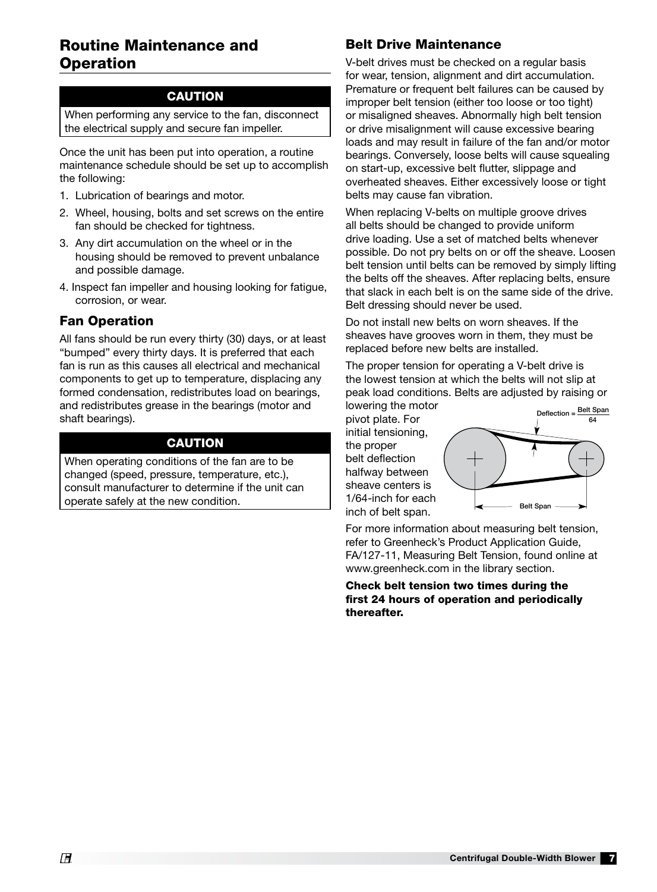## Routine Maintenance and **Operation**

#### **CAUTION**

When performing any service to the fan, disconnect the electrical supply and secure fan impeller.

Once the unit has been put into operation, a routine maintenance schedule should be set up to accomplish the following:

- 1. Lubrication of bearings and motor.
- 2. Wheel, housing, bolts and set screws on the entire fan should be checked for tightness.
- 3. Any dirt accumulation on the wheel or in the housing should be removed to prevent unbalance and possible damage.
- 4. Inspect fan impeller and housing looking for fatigue, corrosion, or wear.

#### Fan Operation

All fans should be run every thirty (30) days, or at least "bumped" every thirty days. It is preferred that each fan is run as this causes all electrical and mechanical components to get up to temperature, displacing any formed condensation, redistributes load on bearings, and redistributes grease in the bearings (motor and shaft bearings).

#### CAUTION

When operating conditions of the fan are to be changed (speed, pressure, temperature, etc.), consult manufacturer to determine if the unit can operate safely at the new condition.

## Belt Drive Maintenance

V-belt drives must be checked on a regular basis for wear, tension, alignment and dirt accumulation. Premature or frequent belt failures can be caused by improper belt tension (either too loose or too tight) or misaligned sheaves. Abnormally high belt tension or drive misalignment will cause excessive bearing loads and may result in failure of the fan and/or motor bearings. Conversely, loose belts will cause squealing on start-up, excessive belt flutter, slippage and overheated sheaves. Either excessively loose or tight belts may cause fan vibration.

When replacing V-belts on multiple groove drives all belts should be changed to provide uniform drive loading. Use a set of matched belts whenever possible. Do not pry belts on or off the sheave. Loosen belt tension until belts can be removed by simply lifting the belts off the sheaves. After replacing belts, ensure that slack in each belt is on the same side of the drive. Belt dressing should never be used.

Do not install new belts on worn sheaves. If the sheaves have grooves worn in them, they must be replaced before new belts are installed.

The proper tension for operating a V-belt drive is the lowest tension at which the belts will not slip at peak load conditions. Belts are adjusted by raising or lowering the motor

pivot plate. For initial tensioning, the proper belt deflection halfway between sheave centers is 1/64-inch for each inch of belt span.



For more information about measuring belt tension, refer to Greenheck's Product Application Guide, FA/127-11, Measuring Belt Tension, found online at www.greenheck.com in the library section.

Check belt tension two times during the first 24 hours of operation and periodically thereafter.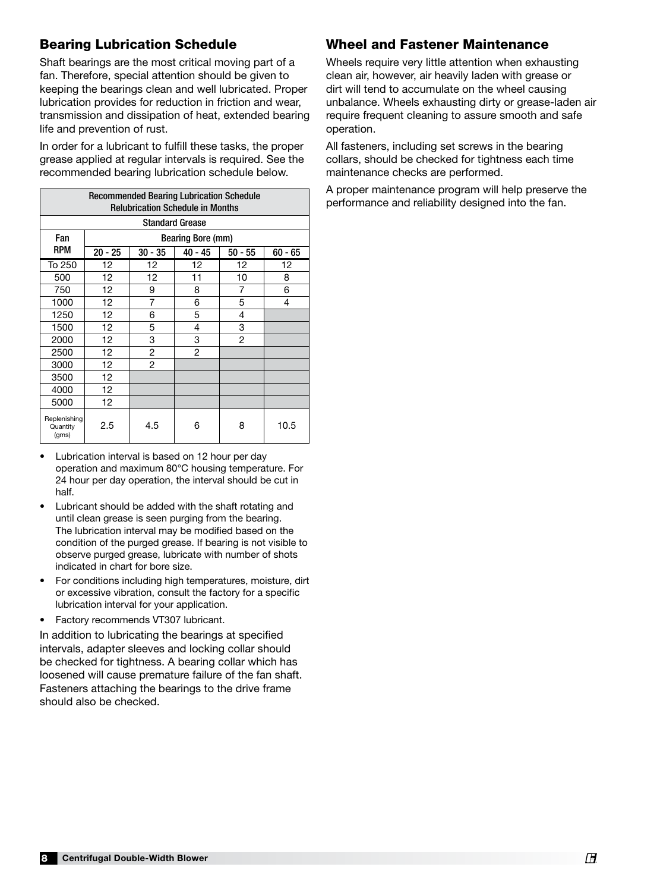## Bearing Lubrication Schedule

Shaft bearings are the most critical moving part of a fan. Therefore, special attention should be given to keeping the bearings clean and well lubricated. Proper lubrication provides for reduction in friction and wear, transmission and dissipation of heat, extended bearing life and prevention of rust.

In order for a lubricant to fulfill these tasks, the proper grease applied at regular intervals is required. See the recommended bearing lubrication schedule below.

| <b>Recommended Bearing Lubrication Schedule</b><br><b>Relubrication Schedule in Months</b> |                          |                |           |           |           |  |  |  |
|--------------------------------------------------------------------------------------------|--------------------------|----------------|-----------|-----------|-----------|--|--|--|
| <b>Standard Grease</b>                                                                     |                          |                |           |           |           |  |  |  |
| Fan                                                                                        | <b>Bearing Bore (mm)</b> |                |           |           |           |  |  |  |
| <b>RPM</b>                                                                                 | $20 - 25$                | $30 - 35$      | $40 - 45$ | $50 - 55$ | $60 - 65$ |  |  |  |
| To 250                                                                                     | 12                       | 12             | 12        | 12        | 12        |  |  |  |
| 500                                                                                        | 12                       | 12             | 11        | 10        | 8         |  |  |  |
| 750                                                                                        | 12                       | 9              | 8         | 7         | 6         |  |  |  |
| 1000                                                                                       | 12                       | $\overline{7}$ | 6         | 5         | 4         |  |  |  |
| 1250                                                                                       | 12                       | 6              | 5         | 4         |           |  |  |  |
| 1500                                                                                       | 12                       | 5              | 4         | 3         |           |  |  |  |
| 2000                                                                                       | 12                       | 3              | 3         | 2         |           |  |  |  |
| 2500                                                                                       | 12                       | 2              | 2         |           |           |  |  |  |
| 3000                                                                                       | 12 <sup>2</sup>          | $\overline{2}$ |           |           |           |  |  |  |
| 3500                                                                                       | 12                       |                |           |           |           |  |  |  |
| 4000                                                                                       | 12                       |                |           |           |           |  |  |  |
| 5000                                                                                       | 12 <sup>2</sup>          |                |           |           |           |  |  |  |
| Replenishing<br>Quantity<br>(qms)                                                          | 2.5                      | 4.5            | 6         | 8         | 10.5      |  |  |  |

- Lubrication interval is based on 12 hour per day operation and maximum 80°C housing temperature. For 24 hour per day operation, the interval should be cut in half.
- Lubricant should be added with the shaft rotating and until clean grease is seen purging from the bearing. The lubrication interval may be modified based on the condition of the purged grease. If bearing is not visible to observe purged grease, lubricate with number of shots indicated in chart for bore size.
- For conditions including high temperatures, moisture, dirt or excessive vibration, consult the factory for a specific lubrication interval for your application.
- Factory recommends VT307 lubricant.

In addition to lubricating the bearings at specified intervals, adapter sleeves and locking collar should be checked for tightness. A bearing collar which has loosened will cause premature failure of the fan shaft. Fasteners attaching the bearings to the drive frame should also be checked.

#### Wheel and Fastener Maintenance

Wheels require very little attention when exhausting clean air, however, air heavily laden with grease or dirt will tend to accumulate on the wheel causing unbalance. Wheels exhausting dirty or grease-laden air require frequent cleaning to assure smooth and safe operation.

All fasteners, including set screws in the bearing collars, should be checked for tightness each time maintenance checks are performed.

A proper maintenance program will help preserve the performance and reliability designed into the fan.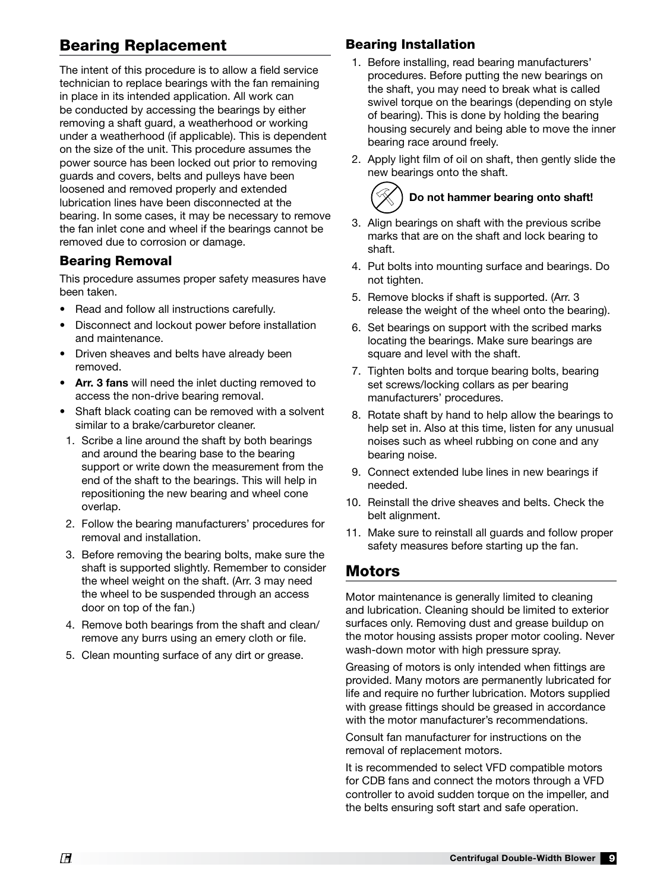# Bearing Replacement

The intent of this procedure is to allow a field service technician to replace bearings with the fan remaining in place in its intended application. All work can be conducted by accessing the bearings by either removing a shaft guard, a weatherhood or working under a weatherhood (if applicable). This is dependent on the size of the unit. This procedure assumes the power source has been locked out prior to removing guards and covers, belts and pulleys have been loosened and removed properly and extended lubrication lines have been disconnected at the bearing. In some cases, it may be necessary to remove the fan inlet cone and wheel if the bearings cannot be removed due to corrosion or damage.

#### Bearing Removal

This procedure assumes proper safety measures have been taken.

- Read and follow all instructions carefully.
- Disconnect and lockout power before installation and maintenance.
- Driven sheaves and belts have already been removed.
- Arr. 3 fans will need the inlet ducting removed to access the non-drive bearing removal.
- Shaft black coating can be removed with a solvent similar to a brake/carburetor cleaner.
- 1. Scribe a line around the shaft by both bearings and around the bearing base to the bearing support or write down the measurement from the end of the shaft to the bearings. This will help in repositioning the new bearing and wheel cone overlap.
- 2. Follow the bearing manufacturers' procedures for removal and installation.
- 3. Before removing the bearing bolts, make sure the shaft is supported slightly. Remember to consider the wheel weight on the shaft. (Arr. 3 may need the wheel to be suspended through an access door on top of the fan.)
- 4. Remove both bearings from the shaft and clean/ remove any burrs using an emery cloth or file.
- 5. Clean mounting surface of any dirt or grease.

#### Bearing Installation

- 1. Before installing, read bearing manufacturers' procedures. Before putting the new bearings on the shaft, you may need to break what is called swivel torque on the bearings (depending on style of bearing). This is done by holding the bearing housing securely and being able to move the inner bearing race around freely.
- 2. Apply light film of oil on shaft, then gently slide the new bearings onto the shaft.

# Do not hammer bearing onto shaft!

- 3. Align bearings on shaft with the previous scribe marks that are on the shaft and lock bearing to shaft.
- 4. Put bolts into mounting surface and bearings. Do not tighten.
- 5. Remove blocks if shaft is supported. (Arr. 3 release the weight of the wheel onto the bearing).
- 6. Set bearings on support with the scribed marks locating the bearings. Make sure bearings are square and level with the shaft.
- 7. Tighten bolts and torque bearing bolts, bearing set screws/locking collars as per bearing manufacturers' procedures.
- 8. Rotate shaft by hand to help allow the bearings to help set in. Also at this time, listen for any unusual noises such as wheel rubbing on cone and any bearing noise.
- 9. Connect extended lube lines in new bearings if needed.
- 10. Reinstall the drive sheaves and belts. Check the belt alignment.
- 11. Make sure to reinstall all guards and follow proper safety measures before starting up the fan.

## Motors

Motor maintenance is generally limited to cleaning and lubrication. Cleaning should be limited to exterior surfaces only. Removing dust and grease buildup on the motor housing assists proper motor cooling. Never wash-down motor with high pressure spray.

Greasing of motors is only intended when fittings are provided. Many motors are permanently lubricated for life and require no further lubrication. Motors supplied with grease fittings should be greased in accordance with the motor manufacturer's recommendations.

Consult fan manufacturer for instructions on the removal of replacement motors.

It is recommended to select VFD compatible motors for CDB fans and connect the motors through a VFD controller to avoid sudden torque on the impeller, and the belts ensuring soft start and safe operation.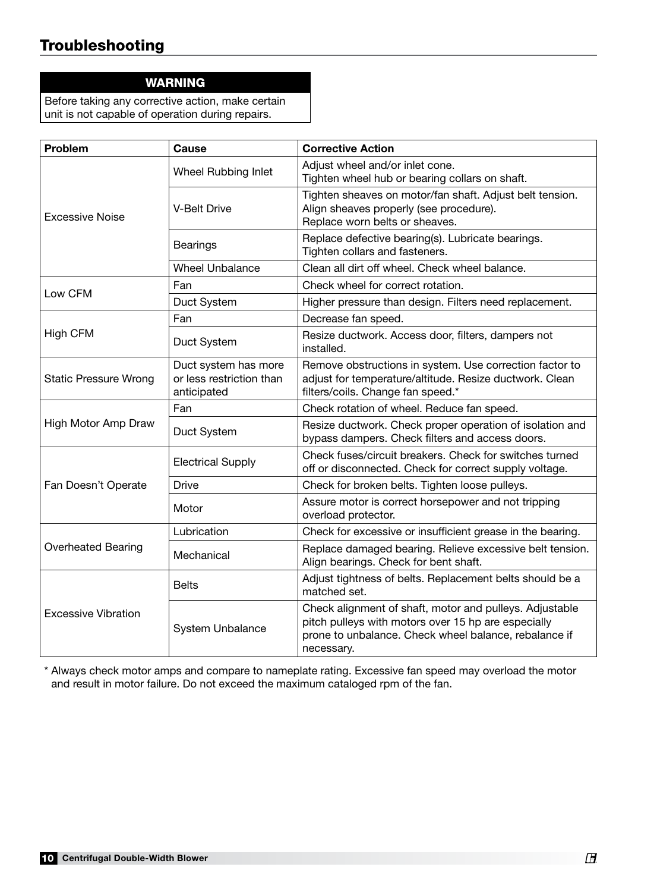# Troubleshooting

#### WARNING

Before taking any corrective action, make certain unit is not capable of operation during repairs.

| Problem                      | Cause                                                           | <b>Corrective Action</b>                                                                                                                                                              |  |  |
|------------------------------|-----------------------------------------------------------------|---------------------------------------------------------------------------------------------------------------------------------------------------------------------------------------|--|--|
|                              | Wheel Rubbing Inlet                                             | Adjust wheel and/or inlet cone.<br>Tighten wheel hub or bearing collars on shaft.                                                                                                     |  |  |
| <b>Excessive Noise</b>       | <b>V-Belt Drive</b>                                             | Tighten sheaves on motor/fan shaft. Adjust belt tension.<br>Align sheaves properly (see procedure).<br>Replace worn belts or sheaves.                                                 |  |  |
|                              | <b>Bearings</b>                                                 | Replace defective bearing(s). Lubricate bearings.<br>Tighten collars and fasteners.                                                                                                   |  |  |
|                              | <b>Wheel Unbalance</b>                                          | Clean all dirt off wheel. Check wheel balance.                                                                                                                                        |  |  |
| Low CFM                      | Fan                                                             | Check wheel for correct rotation.                                                                                                                                                     |  |  |
|                              | Duct System                                                     | Higher pressure than design. Filters need replacement.                                                                                                                                |  |  |
|                              | Fan                                                             | Decrease fan speed.                                                                                                                                                                   |  |  |
| <b>High CFM</b>              | Duct System                                                     | Resize ductwork. Access door, filters, dampers not<br>installed.                                                                                                                      |  |  |
| <b>Static Pressure Wrong</b> | Duct system has more<br>or less restriction than<br>anticipated | Remove obstructions in system. Use correction factor to<br>adjust for temperature/altitude. Resize ductwork. Clean<br>filters/coils. Change fan speed.*                               |  |  |
|                              | Fan                                                             | Check rotation of wheel. Reduce fan speed.                                                                                                                                            |  |  |
| High Motor Amp Draw          | Duct System                                                     | Resize ductwork. Check proper operation of isolation and<br>bypass dampers. Check filters and access doors.                                                                           |  |  |
|                              | <b>Electrical Supply</b>                                        | Check fuses/circuit breakers. Check for switches turned<br>off or disconnected. Check for correct supply voltage.                                                                     |  |  |
| Fan Doesn't Operate          | <b>Drive</b>                                                    | Check for broken belts. Tighten loose pulleys.                                                                                                                                        |  |  |
|                              | Motor                                                           | Assure motor is correct horsepower and not tripping<br>overload protector.                                                                                                            |  |  |
|                              | Lubrication                                                     | Check for excessive or insufficient grease in the bearing.                                                                                                                            |  |  |
| <b>Overheated Bearing</b>    | Mechanical                                                      | Replace damaged bearing. Relieve excessive belt tension.<br>Align bearings. Check for bent shaft.                                                                                     |  |  |
|                              | <b>Belts</b>                                                    | Adjust tightness of belts. Replacement belts should be a<br>matched set.                                                                                                              |  |  |
| <b>Excessive Vibration</b>   | System Unbalance                                                | Check alignment of shaft, motor and pulleys. Adjustable<br>pitch pulleys with motors over 15 hp are especially<br>prone to unbalance. Check wheel balance, rebalance if<br>necessary. |  |  |

\* Always check motor amps and compare to nameplate rating. Excessive fan speed may overload the motor and result in motor failure. Do not exceed the maximum cataloged rpm of the fan.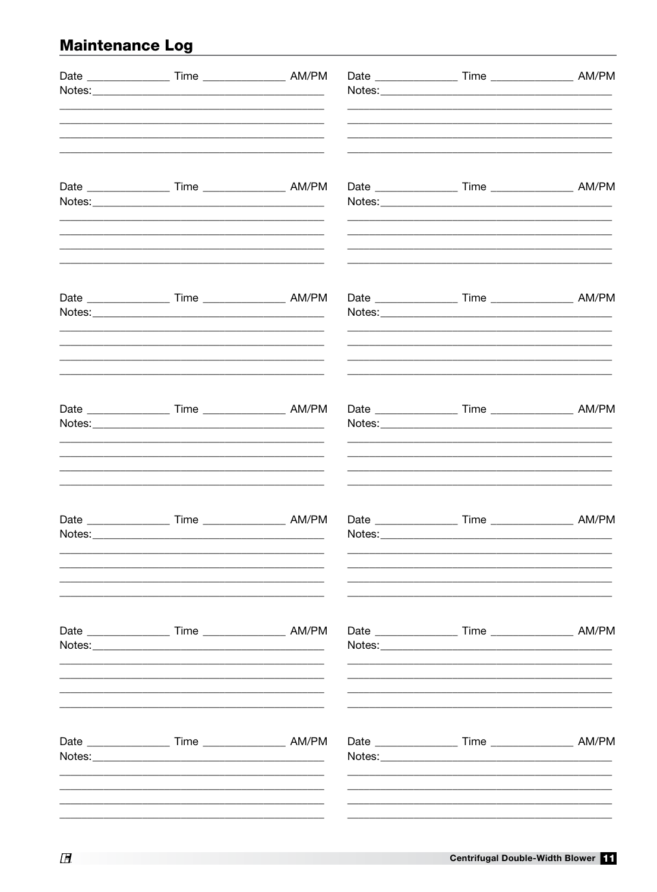# **Maintenance Log**

| Date _____________________ Time _______________________ AM/PM                                                                                                                         |  |                                                                    |  |
|---------------------------------------------------------------------------------------------------------------------------------------------------------------------------------------|--|--------------------------------------------------------------------|--|
|                                                                                                                                                                                       |  |                                                                    |  |
| Date _____________________ Time _______________________ AM/PM                                                                                                                         |  |                                                                    |  |
| Date _______________________ Time ________________________ AM/PM                                                                                                                      |  |                                                                    |  |
| <u> 1989 - John Stein, mars and de final de la provincia de la provincia de la provincia de la provincia de la p</u><br>Date _____________________ Time _______________________ AM/PM |  |                                                                    |  |
| Date _______________________ Time ________________________ AM/PM                                                                                                                      |  | Date ________________________ Time _________________________ AM/PM |  |
|                                                                                                                                                                                       |  | Date ________________________ Time _________________________ AM/PM |  |
|                                                                                                                                                                                       |  |                                                                    |  |